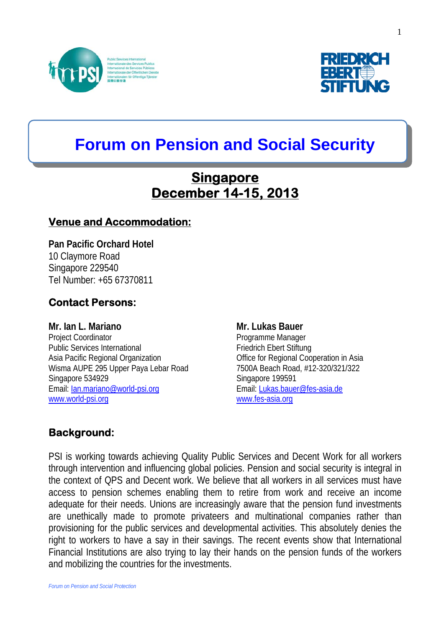



# **Forum on Pension and Social Security**

## **Singapore December 14-15, 2013**

#### **Venue and Accommodation:**

**Pan Pacific Orchard Hotel**  10 Claymore Road Singapore 229540 Tel Number: +65 67370811

#### **Contact Persons:**

**Mr. Ian L. Mariano Mr. Lukas Bauer Communist Communist Communist Communist Communist Communist Communist Communist Communist Communist Communist Communist Communist Communist Communist Communist Communist Communist Commun** Project Coordinator **Project Coordinator** Programme Manager Public Services International Friedrich Ebert Stiftung Asia Pacific Regional Organization **Office for Regional Cooperation in Asia** Wisma AUPE 295 Upper Paya Lebar Road 7500A Beach Road, #12-320/321/322 Singapore 534929 Singapore 199591 Email: [Ian.mariano@world-psi.org](mailto:Ian.mariano@world-psi.org) email: [Lukas.bauer@fes-asia.de](mailto:Lukas.bauer@fes-asia.de) [www.world-psi.org](http://www.world-psi.org/) [www.fes-asia.org](http://www.fes-asia.org/)

#### **Background:**

PSI is working towards achieving Quality Public Services and Decent Work for all workers through intervention and influencing global policies. Pension and social security is integral in the context of QPS and Decent work. We believe that all workers in all services must have access to pension schemes enabling them to retire from work and receive an income adequate for their needs. Unions are increasingly aware that the pension fund investments are unethically made to promote privateers and multinational companies rather than provisioning for the public services and developmental activities. This absolutely denies the right to workers to have a say in their savings. The recent events show that International Financial Institutions are also trying to lay their hands on the pension funds of the workers and mobilizing the countries for the investments.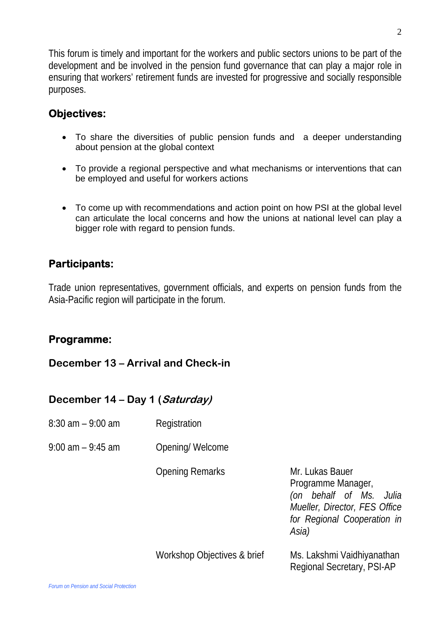This forum is timely and important for the workers and public sectors unions to be part of the development and be involved in the pension fund governance that can play a major role in ensuring that workers' retirement funds are invested for progressive and socially responsible purposes.

#### **Objectives:**

- To share the diversities of public pension funds and a deeper understanding about pension at the global context
- To provide a regional perspective and what mechanisms or interventions that can be employed and useful for workers actions
- To come up with recommendations and action point on how PSI at the global level can articulate the local concerns and how the unions at national level can play a bigger role with regard to pension funds.

#### **Participants:**

Trade union representatives, government officials, and experts on pension funds from the Asia-Pacific region will participate in the forum.

#### **Programme:**

#### **December 13 – Arrival and Check-in**

#### **December 14 – Day 1 (Saturday)**

- 8:30 am 9:00 am Registration
- 9:00 am 9:45 am Opening/ Welcome

Opening Remarks Mr. Lukas Bauer

Programme Manager, *(on behalf of Ms. Julia Mueller, Director, FES Office for Regional Cooperation in Asia)* 

Workshop Objectives & brief Ms. Lakshmi Vaidhiyanathan

Regional Secretary, PSI-AP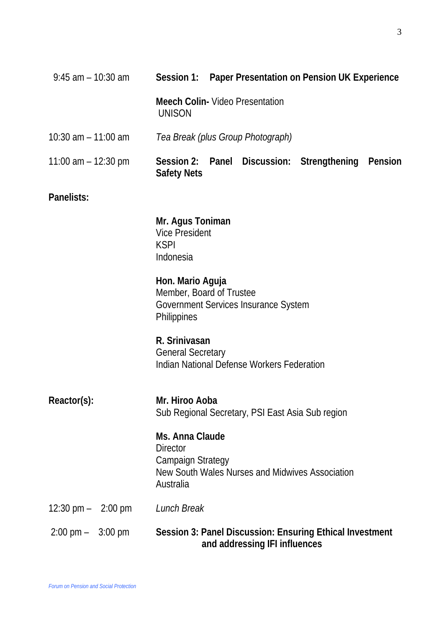| $9:45$ am $-10:30$ am               | Session 1: Paper Presentation on Pension UK Experience                                                                         |
|-------------------------------------|--------------------------------------------------------------------------------------------------------------------------------|
|                                     | <b>Meech Colin- Video Presentation</b><br><b>UNISON</b>                                                                        |
| 10:30 am $-$ 11:00 am               | Tea Break (plus Group Photograph)                                                                                              |
| 11:00 am $-$ 12:30 pm               | Session 2:<br>Panel Discussion: Strengthening<br>Pension<br><b>Safety Nets</b>                                                 |
| Panelists:                          |                                                                                                                                |
|                                     | Mr. Agus Toniman<br><b>Vice President</b><br><b>KSPI</b><br>Indonesia                                                          |
|                                     | Hon. Mario Aguja<br>Member, Board of Trustee<br>Government Services Insurance System<br><b>Philippines</b>                     |
|                                     | R. Srinivasan<br><b>General Secretary</b><br>Indian National Defense Workers Federation                                        |
| Reactor(s):                         | Mr. Hiroo Aoba<br>Sub Regional Secretary, PSI East Asia Sub region                                                             |
|                                     | Ms. Anna Claude<br><b>Director</b><br><b>Campaign Strategy</b><br>New South Wales Nurses and Midwives Association<br>Australia |
| 12:30 pm $-$ 2:00 pm                | Lunch Break                                                                                                                    |
| $2:00 \text{ pm} - 3:00 \text{ pm}$ | Session 3: Panel Discussion: Ensuring Ethical Investment<br>and addressing IFI influences                                      |

3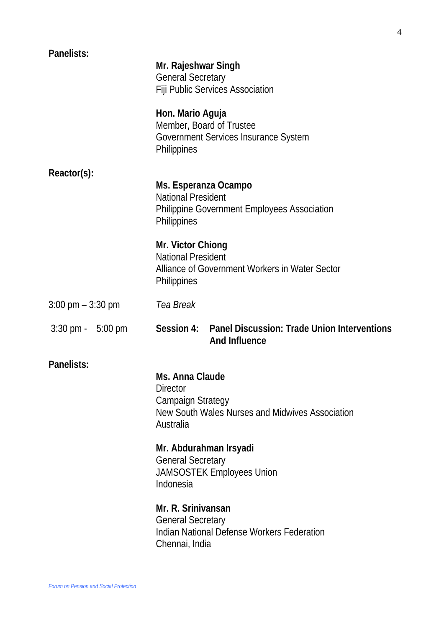| Panelists:                          | Mr. Rajeshwar Singh<br><b>General Secretary</b><br>Fiji Public Services Association                                            |
|-------------------------------------|--------------------------------------------------------------------------------------------------------------------------------|
|                                     | Hon. Mario Aguja<br>Member, Board of Trustee<br>Government Services Insurance System<br>Philippines                            |
| Reactor(s):                         | Ms. Esperanza Ocampo<br><b>National President</b><br>Philippine Government Employees Association<br>Philippines                |
|                                     | Mr. Victor Chiong<br><b>National President</b><br>Alliance of Government Workers in Water Sector<br>Philippines                |
| $3:00 \text{ pm} - 3:30 \text{ pm}$ | Tea Break                                                                                                                      |
| $3:30 \text{ pm} - 5:00 \text{ pm}$ | Session 4: Panel Discussion: Trade Union Interventions<br><b>And Influence</b>                                                 |
| Panelists:                          | Ms. Anna Claude<br><b>Director</b><br><b>Campaign Strategy</b><br>New South Wales Nurses and Midwives Association<br>Australia |
|                                     | Mr. Abdurahman Irsyadi<br><b>General Secretary</b><br><b>JAMSOSTEK Employees Union</b><br>Indonesia                            |
|                                     | Mr. R. Srinivansan<br><b>General Secretary</b><br>Indian National Defense Workers Federation<br>Chennai, India                 |